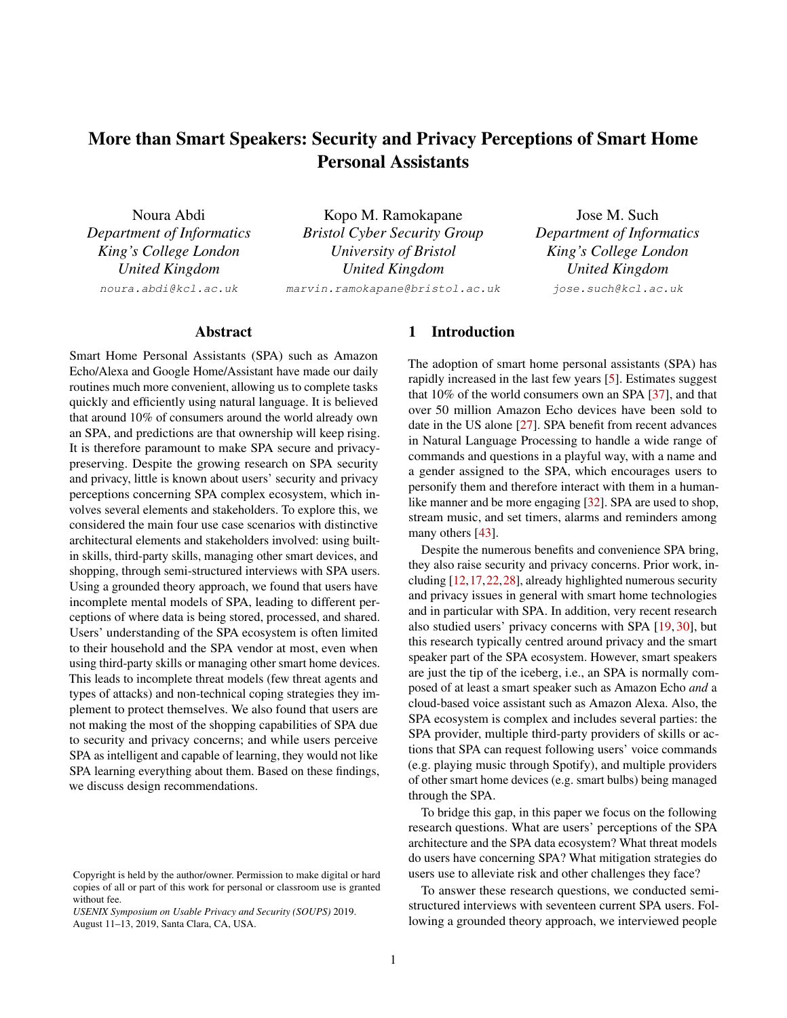# More than Smart Speakers: Security and Privacy Perceptions of Smart Home Personal Assistants

Noura Abdi *Department of Informatics King's College London United Kingdom* noura.abdi@kcl.ac.uk

Kopo M. Ramokapane *Bristol Cyber Security Group University of Bristol United Kingdom*

marvin.ramokapane@bristol.ac.uk

Jose M. Such *Department of Informatics King's College London United Kingdom*

jose.such@kcl.ac.uk

# Abstract

Smart Home Personal Assistants (SPA) such as Amazon Echo/Alexa and Google Home/Assistant have made our daily routines much more convenient, allowing us to complete tasks quickly and efficiently using natural language. It is believed that around 10% of consumers around the world already own an SPA, and predictions are that ownership will keep rising. It is therefore paramount to make SPA secure and privacypreserving. Despite the growing research on SPA security and privacy, little is known about users' security and privacy perceptions concerning SPA complex ecosystem, which involves several elements and stakeholders. To explore this, we considered the main four use case scenarios with distinctive architectural elements and stakeholders involved: using builtin skills, third-party skills, managing other smart devices, and shopping, through semi-structured interviews with SPA users. Using a grounded theory approach, we found that users have incomplete mental models of SPA, leading to different perceptions of where data is being stored, processed, and shared. Users' understanding of the SPA ecosystem is often limited to their household and the SPA vendor at most, even when using third-party skills or managing other smart home devices. This leads to incomplete threat models (few threat agents and types of attacks) and non-technical coping strategies they implement to protect themselves. We also found that users are not making the most of the shopping capabilities of SPA due to security and privacy concerns; and while users perceive SPA as intelligent and capable of learning, they would not like SPA learning everything about them. Based on these findings, we discuss design recommendations.

### 1 Introduction

The adoption of smart home personal assistants (SPA) has rapidly increased in the last few years [\[5\]](#page-12-0). Estimates suggest that 10% of the world consumers own an SPA [\[37\]](#page-13-0), and that over 50 million Amazon Echo devices have been sold to date in the US alone [\[27\]](#page-13-1). SPA benefit from recent advances in Natural Language Processing to handle a wide range of commands and questions in a playful way, with a name and a gender assigned to the SPA, which encourages users to personify them and therefore interact with them in a humanlike manner and be more engaging [\[32\]](#page-13-2). SPA are used to shop, stream music, and set timers, alarms and reminders among many others [\[43\]](#page-13-3).

Despite the numerous benefits and convenience SPA bring, they also raise security and privacy concerns. Prior work, including [\[12,](#page-12-1)[17,](#page-12-2)[22,](#page-12-3)[28\]](#page-13-4), already highlighted numerous security and privacy issues in general with smart home technologies and in particular with SPA. In addition, very recent research also studied users' privacy concerns with SPA [\[19,](#page-12-4) [30\]](#page-13-5), but this research typically centred around privacy and the smart speaker part of the SPA ecosystem. However, smart speakers are just the tip of the iceberg, i.e., an SPA is normally composed of at least a smart speaker such as Amazon Echo *and* a cloud-based voice assistant such as Amazon Alexa. Also, the SPA ecosystem is complex and includes several parties: the SPA provider, multiple third-party providers of skills or actions that SPA can request following users' voice commands (e.g. playing music through Spotify), and multiple providers of other smart home devices (e.g. smart bulbs) being managed through the SPA.

To bridge this gap, in this paper we focus on the following research questions. What are users' perceptions of the SPA architecture and the SPA data ecosystem? What threat models do users have concerning SPA? What mitigation strategies do users use to alleviate risk and other challenges they face?

To answer these research questions, we conducted semistructured interviews with seventeen current SPA users. Following a grounded theory approach, we interviewed people

Copyright is held by the author/owner. Permission to make digital or hard copies of all or part of this work for personal or classroom use is granted without fee.

*USENIX Symposium on Usable Privacy and Security (SOUPS)* 2019. August 11–13, 2019, Santa Clara, CA, USA.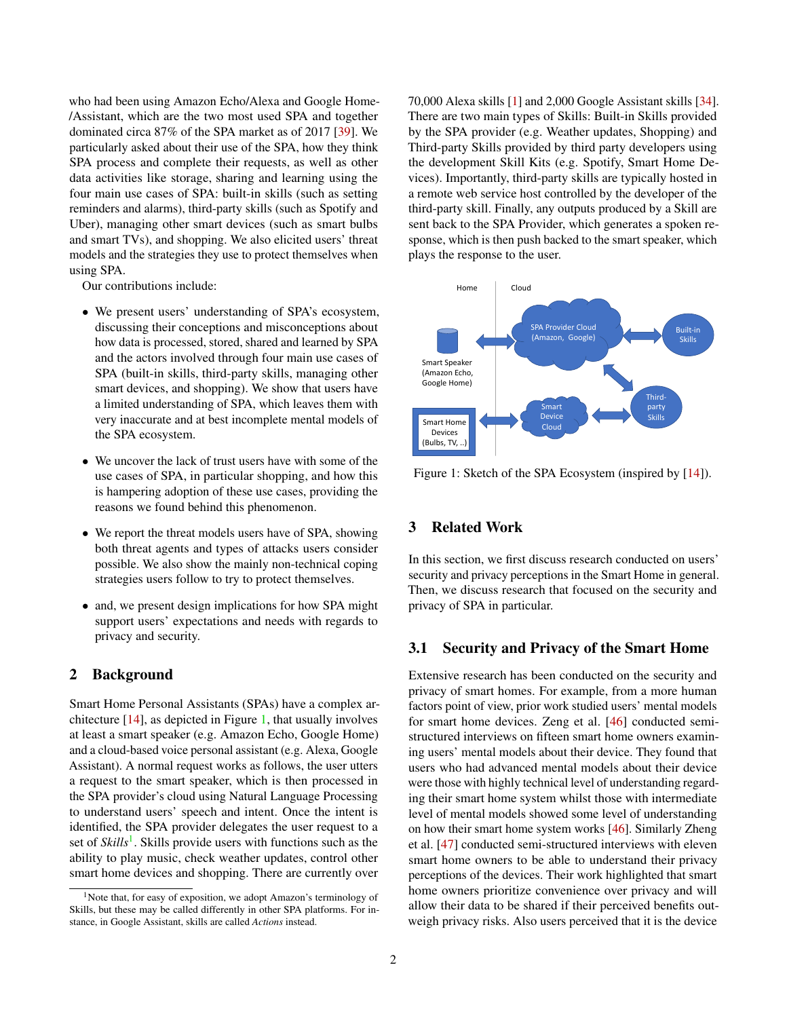who had been using Amazon Echo/Alexa and Google Home- /Assistant, which are the two most used SPA and together dominated circa 87% of the SPA market as of 2017 [\[39\]](#page-13-6). We particularly asked about their use of the SPA, how they think SPA process and complete their requests, as well as other data activities like storage, sharing and learning using the four main use cases of SPA: built-in skills (such as setting reminders and alarms), third-party skills (such as Spotify and Uber), managing other smart devices (such as smart bulbs and smart TVs), and shopping. We also elicited users' threat models and the strategies they use to protect themselves when using SPA.

Our contributions include:

- We present users' understanding of SPA's ecosystem, discussing their conceptions and misconceptions about how data is processed, stored, shared and learned by SPA and the actors involved through four main use cases of SPA (built-in skills, third-party skills, managing other smart devices, and shopping). We show that users have a limited understanding of SPA, which leaves them with very inaccurate and at best incomplete mental models of the SPA ecosystem.
- We uncover the lack of trust users have with some of the use cases of SPA, in particular shopping, and how this is hampering adoption of these use cases, providing the reasons we found behind this phenomenon.
- We report the threat models users have of SPA, showing both threat agents and types of attacks users consider possible. We also show the mainly non-technical coping strategies users follow to try to protect themselves.
- and, we present design implications for how SPA might support users' expectations and needs with regards to privacy and security.

# 2 Background

Smart Home Personal Assistants (SPAs) have a complex architecture [\[14\]](#page-12-5), as depicted in Figure [1,](#page-1-0) that usually involves at least a smart speaker (e.g. Amazon Echo, Google Home) and a cloud-based voice personal assistant (e.g. Alexa, Google Assistant). A normal request works as follows, the user utters a request to the smart speaker, which is then processed in the SPA provider's cloud using Natural Language Processing to understand users' speech and intent. Once the intent is identified, the SPA provider delegates the user request to a set of *Skills*<sup>[1](#page-1-1)</sup>. Skills provide users with functions such as the ability to play music, check weather updates, control other smart home devices and shopping. There are currently over

70,000 Alexa skills [\[1\]](#page-12-6) and 2,000 Google Assistant skills [\[34\]](#page-13-7). There are two main types of Skills: Built-in Skills provided by the SPA provider (e.g. Weather updates, Shopping) and Third-party Skills provided by third party developers using the development Skill Kits (e.g. Spotify, Smart Home Devices). Importantly, third-party skills are typically hosted in a remote web service host controlled by the developer of the third-party skill. Finally, any outputs produced by a Skill are sent back to the SPA Provider, which generates a spoken response, which is then push backed to the smart speaker, which plays the response to the user.



<span id="page-1-0"></span>Figure 1: Sketch of the SPA Ecosystem (inspired by [\[14\]](#page-12-5)).

# <span id="page-1-2"></span>3 Related Work

In this section, we first discuss research conducted on users' security and privacy perceptions in the Smart Home in general. Then, we discuss research that focused on the security and privacy of SPA in particular.

### 3.1 Security and Privacy of the Smart Home

Extensive research has been conducted on the security and privacy of smart homes. For example, from a more human factors point of view, prior work studied users' mental models for smart home devices. Zeng et al. [\[46\]](#page-13-8) conducted semistructured interviews on fifteen smart home owners examining users' mental models about their device. They found that users who had advanced mental models about their device were those with highly technical level of understanding regarding their smart home system whilst those with intermediate level of mental models showed some level of understanding on how their smart home system works [\[46\]](#page-13-8). Similarly Zheng et al. [\[47\]](#page-14-0) conducted semi-structured interviews with eleven smart home owners to be able to understand their privacy perceptions of the devices. Their work highlighted that smart home owners prioritize convenience over privacy and will allow their data to be shared if their perceived benefits outweigh privacy risks. Also users perceived that it is the device

<span id="page-1-1"></span><sup>&</sup>lt;sup>1</sup>Note that, for easy of exposition, we adopt Amazon's terminology of Skills, but these may be called differently in other SPA platforms. For instance, in Google Assistant, skills are called *Actions* instead.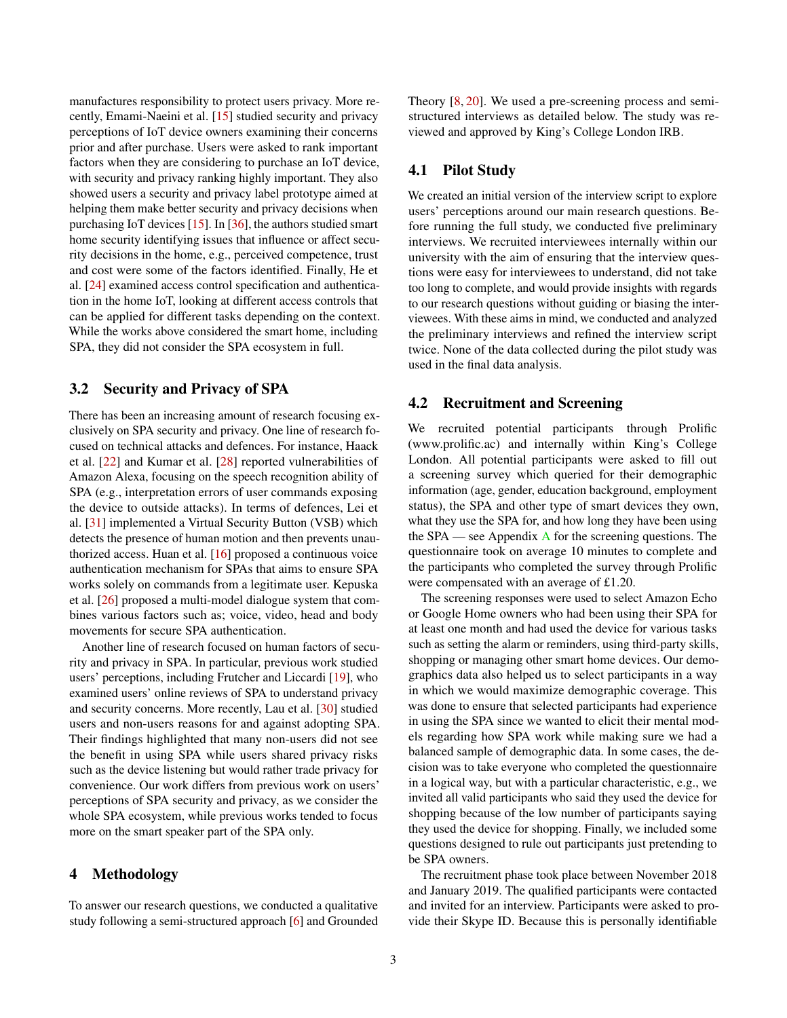manufactures responsibility to protect users privacy. More recently, Emami-Naeini et al. [\[15\]](#page-12-7) studied security and privacy perceptions of IoT device owners examining their concerns prior and after purchase. Users were asked to rank important factors when they are considering to purchase an IoT device, with security and privacy ranking highly important. They also showed users a security and privacy label prototype aimed at helping them make better security and privacy decisions when purchasing IoT devices [\[15\]](#page-12-7). In [\[36\]](#page-13-9), the authors studied smart home security identifying issues that influence or affect security decisions in the home, e.g., perceived competence, trust and cost were some of the factors identified. Finally, He et al. [\[24\]](#page-12-8) examined access control specification and authentication in the home IoT, looking at different access controls that can be applied for different tasks depending on the context. While the works above considered the smart home, including SPA, they did not consider the SPA ecosystem in full.

## 3.2 Security and Privacy of SPA

There has been an increasing amount of research focusing exclusively on SPA security and privacy. One line of research focused on technical attacks and defences. For instance, Haack et al. [\[22\]](#page-12-3) and Kumar et al. [\[28\]](#page-13-4) reported vulnerabilities of Amazon Alexa, focusing on the speech recognition ability of SPA (e.g., interpretation errors of user commands exposing the device to outside attacks). In terms of defences, Lei et al. [\[31\]](#page-13-10) implemented a Virtual Security Button (VSB) which detects the presence of human motion and then prevents unauthorized access. Huan et al. [\[16\]](#page-12-9) proposed a continuous voice authentication mechanism for SPAs that aims to ensure SPA works solely on commands from a legitimate user. Kepuska et al. [\[26\]](#page-13-11) proposed a multi-model dialogue system that combines various factors such as; voice, video, head and body movements for secure SPA authentication.

Another line of research focused on human factors of security and privacy in SPA. In particular, previous work studied users' perceptions, including Frutcher and Liccardi [\[19\]](#page-12-4), who examined users' online reviews of SPA to understand privacy and security concerns. More recently, Lau et al. [\[30\]](#page-13-5) studied users and non-users reasons for and against adopting SPA. Their findings highlighted that many non-users did not see the benefit in using SPA while users shared privacy risks such as the device listening but would rather trade privacy for convenience. Our work differs from previous work on users' perceptions of SPA security and privacy, as we consider the whole SPA ecosystem, while previous works tended to focus more on the smart speaker part of the SPA only.

# 4 Methodology

To answer our research questions, we conducted a qualitative study following a semi-structured approach [\[6\]](#page-12-10) and Grounded Theory [\[8,](#page-12-11) [20\]](#page-12-12). We used a pre-screening process and semistructured interviews as detailed below. The study was reviewed and approved by King's College London IRB.

# 4.1 Pilot Study

We created an initial version of the interview script to explore users' perceptions around our main research questions. Before running the full study, we conducted five preliminary interviews. We recruited interviewees internally within our university with the aim of ensuring that the interview questions were easy for interviewees to understand, did not take too long to complete, and would provide insights with regards to our research questions without guiding or biasing the interviewees. With these aims in mind, we conducted and analyzed the preliminary interviews and refined the interview script twice. None of the data collected during the pilot study was used in the final data analysis.

### 4.2 Recruitment and Screening

We recruited potential participants through Prolific (www.prolific.ac) and internally within King's College London. All potential participants were asked to fill out a screening survey which queried for their demographic information (age, gender, education background, employment status), the SPA and other type of smart devices they own, what they use the SPA for, and how long they have been using the  $SPA$  $SPA$  — see Appendix A for the screening questions. The questionnaire took on average 10 minutes to complete and the participants who completed the survey through Prolific were compensated with an average of £1.20.

The screening responses were used to select Amazon Echo or Google Home owners who had been using their SPA for at least one month and had used the device for various tasks such as setting the alarm or reminders, using third-party skills, shopping or managing other smart home devices. Our demographics data also helped us to select participants in a way in which we would maximize demographic coverage. This was done to ensure that selected participants had experience in using the SPA since we wanted to elicit their mental models regarding how SPA work while making sure we had a balanced sample of demographic data. In some cases, the decision was to take everyone who completed the questionnaire in a logical way, but with a particular characteristic, e.g., we invited all valid participants who said they used the device for shopping because of the low number of participants saying they used the device for shopping. Finally, we included some questions designed to rule out participants just pretending to be SPA owners.

The recruitment phase took place between November 2018 and January 2019. The qualified participants were contacted and invited for an interview. Participants were asked to provide their Skype ID. Because this is personally identifiable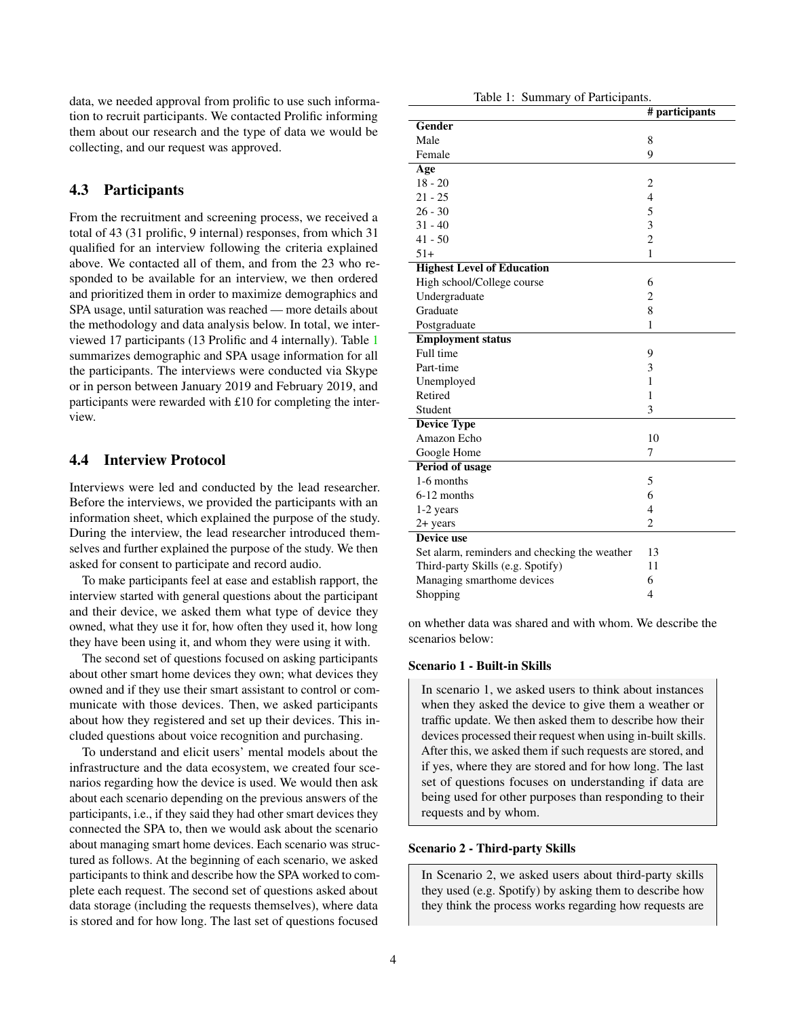data, we needed approval from prolific to use such information to recruit participants. We contacted Prolific informing them about our research and the type of data we would be collecting, and our request was approved.

# 4.3 Participants

From the recruitment and screening process, we received a total of 43 (31 prolific, 9 internal) responses, from which 31 qualified for an interview following the criteria explained above. We contacted all of them, and from the 23 who responded to be available for an interview, we then ordered and prioritized them in order to maximize demographics and SPA usage, until saturation was reached — more details about the methodology and data analysis below. In total, we interviewed 17 participants (13 Prolific and 4 internally). Table [1](#page-3-0) summarizes demographic and SPA usage information for all the participants. The interviews were conducted via Skype or in person between January 2019 and February 2019, and participants were rewarded with £10 for completing the interview.

# 4.4 Interview Protocol

Interviews were led and conducted by the lead researcher. Before the interviews, we provided the participants with an information sheet, which explained the purpose of the study. During the interview, the lead researcher introduced themselves and further explained the purpose of the study. We then asked for consent to participate and record audio.

To make participants feel at ease and establish rapport, the interview started with general questions about the participant and their device, we asked them what type of device they owned, what they use it for, how often they used it, how long they have been using it, and whom they were using it with.

The second set of questions focused on asking participants about other smart home devices they own; what devices they owned and if they use their smart assistant to control or communicate with those devices. Then, we asked participants about how they registered and set up their devices. This included questions about voice recognition and purchasing.

To understand and elicit users' mental models about the infrastructure and the data ecosystem, we created four scenarios regarding how the device is used. We would then ask about each scenario depending on the previous answers of the participants, i.e., if they said they had other smart devices they connected the SPA to, then we would ask about the scenario about managing smart home devices. Each scenario was structured as follows. At the beginning of each scenario, we asked participants to think and describe how the SPA worked to complete each request. The second set of questions asked about data storage (including the requests themselves), where data is stored and for how long. The last set of questions focused

Table 1: Summary of Participants.

<span id="page-3-0"></span>

|                                               | # participants           |
|-----------------------------------------------|--------------------------|
| Gender                                        |                          |
| Male                                          | 8                        |
| Female                                        | 9                        |
| Age                                           |                          |
| $18 - 20$                                     | $\overline{2}$           |
| $21 - 25$                                     | $\overline{\mathcal{L}}$ |
| $26 - 30$                                     | 5                        |
| $31 - 40$                                     | 3                        |
| $41 - 50$                                     | $\overline{c}$           |
| $51+$                                         | $\mathbf{1}$             |
| <b>Highest Level of Education</b>             |                          |
| High school/College course                    | 6                        |
| Undergraduate                                 | $\overline{c}$           |
| Graduate                                      | 8                        |
| Postgraduate                                  | 1                        |
| <b>Employment status</b>                      |                          |
| Full time                                     | 9                        |
| Part-time                                     | 3                        |
| Unemployed                                    | 1                        |
| Retired                                       | 1                        |
| Student                                       | 3                        |
| <b>Device Type</b>                            |                          |
| Amazon Echo                                   | 10                       |
| Google Home                                   | 7                        |
| Period of usage                               |                          |
| 1-6 months                                    | 5                        |
| 6-12 months                                   | 6                        |
| 1-2 years                                     | $\overline{\mathcal{L}}$ |
| $2+$ years                                    | $\overline{2}$           |
| Device use                                    |                          |
| Set alarm, reminders and checking the weather | 13                       |
| Third-party Skills (e.g. Spotify)             | 11                       |
| Managing smarthome devices                    | 6                        |
| Shopping                                      | $\overline{4}$           |
|                                               |                          |

on whether data was shared and with whom. We describe the scenarios below:

#### Scenario 1 - Built-in Skills

In scenario 1, we asked users to think about instances when they asked the device to give them a weather or traffic update. We then asked them to describe how their devices processed their request when using in-built skills. After this, we asked them if such requests are stored, and if yes, where they are stored and for how long. The last set of questions focuses on understanding if data are being used for other purposes than responding to their requests and by whom.

#### Scenario 2 - Third-party Skills

In Scenario 2, we asked users about third-party skills they used (e.g. Spotify) by asking them to describe how they think the process works regarding how requests are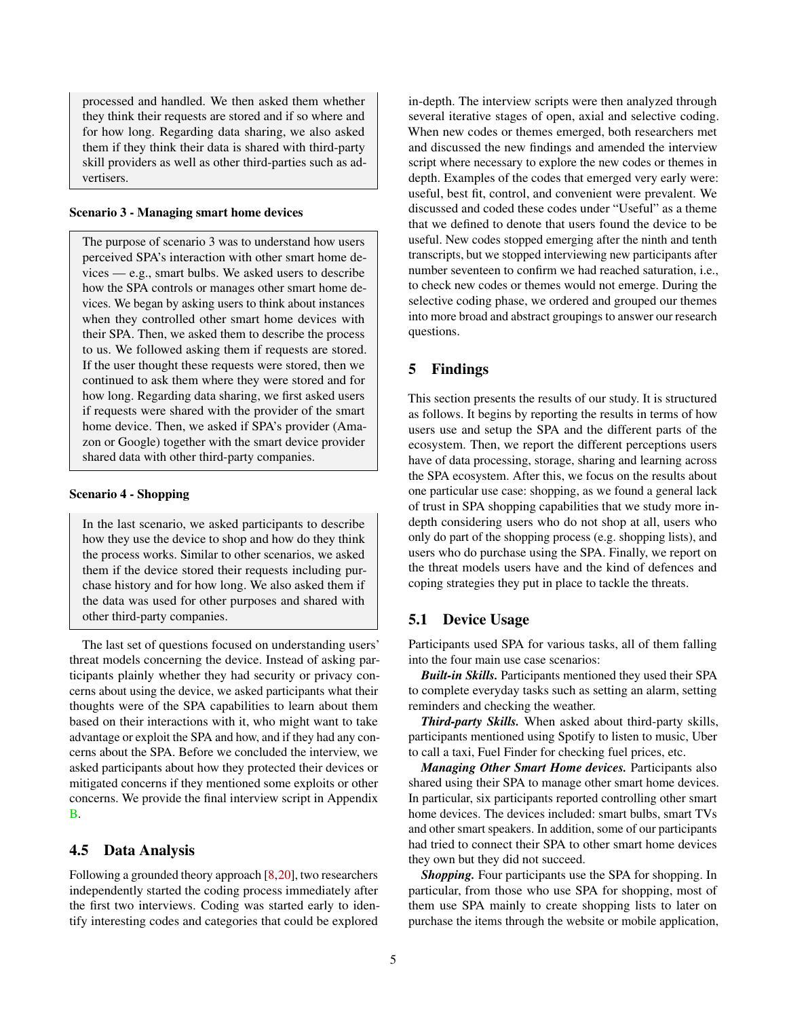processed and handled. We then asked them whether they think their requests are stored and if so where and for how long. Regarding data sharing, we also asked them if they think their data is shared with third-party skill providers as well as other third-parties such as advertisers.

#### Scenario 3 - Managing smart home devices

The purpose of scenario 3 was to understand how users perceived SPA's interaction with other smart home de $vices$  — e.g., smart bulbs. We asked users to describe how the SPA controls or manages other smart home devices. We began by asking users to think about instances when they controlled other smart home devices with their SPA. Then, we asked them to describe the process to us. We followed asking them if requests are stored. If the user thought these requests were stored, then we continued to ask them where they were stored and for how long. Regarding data sharing, we first asked users if requests were shared with the provider of the smart home device. Then, we asked if SPA's provider (Amazon or Google) together with the smart device provider shared data with other third-party companies.

#### Scenario 4 - Shopping

In the last scenario, we asked participants to describe how they use the device to shop and how do they think the process works. Similar to other scenarios, we asked them if the device stored their requests including purchase history and for how long. We also asked them if the data was used for other purposes and shared with other third-party companies.

The last set of questions focused on understanding users' threat models concerning the device. Instead of asking participants plainly whether they had security or privacy concerns about using the device, we asked participants what their thoughts were of the SPA capabilities to learn about them based on their interactions with it, who might want to take advantage or exploit the SPA and how, and if they had any concerns about the SPA. Before we concluded the interview, we asked participants about how they protected their devices or mitigated concerns if they mentioned some exploits or other concerns. We provide the final interview script in Appendix [B.](#page-14-2)

### 4.5 Data Analysis

Following a grounded theory approach [\[8,](#page-12-11)[20\]](#page-12-12), two researchers independently started the coding process immediately after the first two interviews. Coding was started early to identify interesting codes and categories that could be explored

in-depth. The interview scripts were then analyzed through several iterative stages of open, axial and selective coding. When new codes or themes emerged, both researchers met and discussed the new findings and amended the interview script where necessary to explore the new codes or themes in depth. Examples of the codes that emerged very early were: useful, best fit, control, and convenient were prevalent. We discussed and coded these codes under "Useful" as a theme that we defined to denote that users found the device to be useful. New codes stopped emerging after the ninth and tenth transcripts, but we stopped interviewing new participants after number seventeen to confirm we had reached saturation, i.e., to check new codes or themes would not emerge. During the selective coding phase, we ordered and grouped our themes into more broad and abstract groupings to answer our research questions.

# 5 Findings

This section presents the results of our study. It is structured as follows. It begins by reporting the results in terms of how users use and setup the SPA and the different parts of the ecosystem. Then, we report the different perceptions users have of data processing, storage, sharing and learning across the SPA ecosystem. After this, we focus on the results about one particular use case: shopping, as we found a general lack of trust in SPA shopping capabilities that we study more indepth considering users who do not shop at all, users who only do part of the shopping process (e.g. shopping lists), and users who do purchase using the SPA. Finally, we report on the threat models users have and the kind of defences and coping strategies they put in place to tackle the threats.

# 5.1 Device Usage

Participants used SPA for various tasks, all of them falling into the four main use case scenarios:

*Built-in Skills.* Participants mentioned they used their SPA to complete everyday tasks such as setting an alarm, setting reminders and checking the weather.

*Third-party Skills.* When asked about third-party skills, participants mentioned using Spotify to listen to music, Uber to call a taxi, Fuel Finder for checking fuel prices, etc.

*Managing Other Smart Home devices.* Participants also shared using their SPA to manage other smart home devices. In particular, six participants reported controlling other smart home devices. The devices included: smart bulbs, smart TVs and other smart speakers. In addition, some of our participants had tried to connect their SPA to other smart home devices they own but they did not succeed.

*Shopping.* Four participants use the SPA for shopping. In particular, from those who use SPA for shopping, most of them use SPA mainly to create shopping lists to later on purchase the items through the website or mobile application,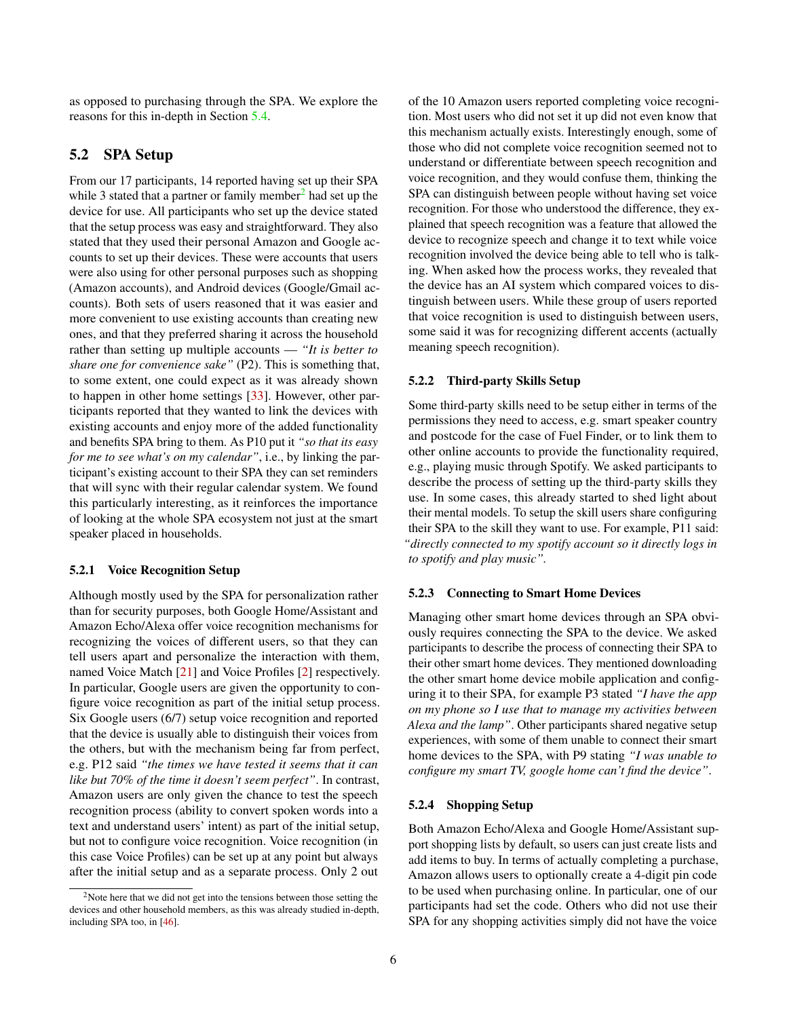as opposed to purchasing through the SPA. We explore the reasons for this in-depth in Section [5.4.](#page-8-0)

# 5.2 SPA Setup

From our 17 participants, 14 reported having set up their SPA while 3 stated that a partner or family member<sup>[2](#page-5-0)</sup> had set up the device for use. All participants who set up the device stated that the setup process was easy and straightforward. They also stated that they used their personal Amazon and Google accounts to set up their devices. These were accounts that users were also using for other personal purposes such as shopping (Amazon accounts), and Android devices (Google/Gmail accounts). Both sets of users reasoned that it was easier and more convenient to use existing accounts than creating new ones, and that they preferred sharing it across the household rather than setting up multiple accounts — *"It is better to share one for convenience sake"* (P2). This is something that, to some extent, one could expect as it was already shown to happen in other home settings [\[33\]](#page-13-12). However, other participants reported that they wanted to link the devices with existing accounts and enjoy more of the added functionality and benefits SPA bring to them. As P10 put it *"so that its easy for me to see what's on my calendar"*, i.e., by linking the participant's existing account to their SPA they can set reminders that will sync with their regular calendar system. We found this particularly interesting, as it reinforces the importance of looking at the whole SPA ecosystem not just at the smart speaker placed in households.

#### 5.2.1 Voice Recognition Setup

Although mostly used by the SPA for personalization rather than for security purposes, both Google Home/Assistant and Amazon Echo/Alexa offer voice recognition mechanisms for recognizing the voices of different users, so that they can tell users apart and personalize the interaction with them, named Voice Match [\[21\]](#page-12-13) and Voice Profiles [\[2\]](#page-12-14) respectively. In particular, Google users are given the opportunity to configure voice recognition as part of the initial setup process. Six Google users (6/7) setup voice recognition and reported that the device is usually able to distinguish their voices from the others, but with the mechanism being far from perfect, e.g. P12 said *"the times we have tested it seems that it can like but 70% of the time it doesn't seem perfect"*. In contrast, Amazon users are only given the chance to test the speech recognition process (ability to convert spoken words into a text and understand users' intent) as part of the initial setup, but not to configure voice recognition. Voice recognition (in this case Voice Profiles) can be set up at any point but always after the initial setup and as a separate process. Only 2 out

of the 10 Amazon users reported completing voice recognition. Most users who did not set it up did not even know that this mechanism actually exists. Interestingly enough, some of those who did not complete voice recognition seemed not to understand or differentiate between speech recognition and voice recognition, and they would confuse them, thinking the SPA can distinguish between people without having set voice recognition. For those who understood the difference, they explained that speech recognition was a feature that allowed the device to recognize speech and change it to text while voice recognition involved the device being able to tell who is talking. When asked how the process works, they revealed that the device has an AI system which compared voices to distinguish between users. While these group of users reported that voice recognition is used to distinguish between users, some said it was for recognizing different accents (actually meaning speech recognition).

#### 5.2.2 Third-party Skills Setup

Some third-party skills need to be setup either in terms of the permissions they need to access, e.g. smart speaker country and postcode for the case of Fuel Finder, or to link them to other online accounts to provide the functionality required, e.g., playing music through Spotify. We asked participants to describe the process of setting up the third-party skills they use. In some cases, this already started to shed light about their mental models. To setup the skill users share configuring their SPA to the skill they want to use. For example, P11 said: *"directly connected to my spotify account so it directly logs in to spotify and play music".*

#### 5.2.3 Connecting to Smart Home Devices

Managing other smart home devices through an SPA obviously requires connecting the SPA to the device. We asked participants to describe the process of connecting their SPA to their other smart home devices. They mentioned downloading the other smart home device mobile application and configuring it to their SPA, for example P3 stated *"I have the app on my phone so I use that to manage my activities between Alexa and the lamp"*. Other participants shared negative setup experiences, with some of them unable to connect their smart home devices to the SPA, with P9 stating *"I was unable to configure my smart TV, google home can't find the device"*.

#### 5.2.4 Shopping Setup

Both Amazon Echo/Alexa and Google Home/Assistant support shopping lists by default, so users can just create lists and add items to buy. In terms of actually completing a purchase, Amazon allows users to optionally create a 4-digit pin code to be used when purchasing online. In particular, one of our participants had set the code. Others who did not use their SPA for any shopping activities simply did not have the voice

<span id="page-5-0"></span><sup>&</sup>lt;sup>2</sup>Note here that we did not get into the tensions between those setting the devices and other household members, as this was already studied in-depth, including SPA too, in [\[46\]](#page-13-8).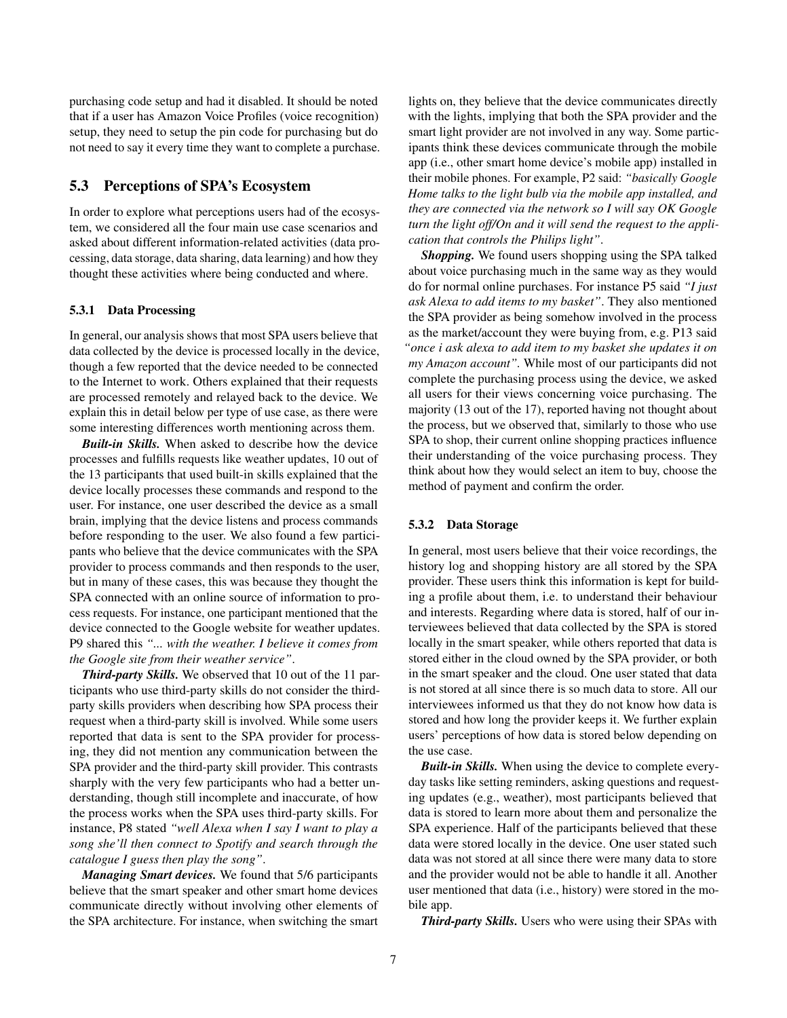purchasing code setup and had it disabled. It should be noted that if a user has Amazon Voice Profiles (voice recognition) setup, they need to setup the pin code for purchasing but do not need to say it every time they want to complete a purchase.

# 5.3 Perceptions of SPA's Ecosystem

In order to explore what perceptions users had of the ecosystem, we considered all the four main use case scenarios and asked about different information-related activities (data processing, data storage, data sharing, data learning) and how they thought these activities where being conducted and where.

#### 5.3.1 Data Processing

In general, our analysis shows that most SPA users believe that data collected by the device is processed locally in the device, though a few reported that the device needed to be connected to the Internet to work. Others explained that their requests are processed remotely and relayed back to the device. We explain this in detail below per type of use case, as there were some interesting differences worth mentioning across them.

*Built-in Skills.* When asked to describe how the device processes and fulfills requests like weather updates, 10 out of the 13 participants that used built-in skills explained that the device locally processes these commands and respond to the user. For instance, one user described the device as a small brain, implying that the device listens and process commands before responding to the user. We also found a few participants who believe that the device communicates with the SPA provider to process commands and then responds to the user, but in many of these cases, this was because they thought the SPA connected with an online source of information to process requests. For instance, one participant mentioned that the device connected to the Google website for weather updates. P9 shared this *"... with the weather. I believe it comes from the Google site from their weather service"*.

*Third-party Skills.* We observed that 10 out of the 11 participants who use third-party skills do not consider the thirdparty skills providers when describing how SPA process their request when a third-party skill is involved. While some users reported that data is sent to the SPA provider for processing, they did not mention any communication between the SPA provider and the third-party skill provider. This contrasts sharply with the very few participants who had a better understanding, though still incomplete and inaccurate, of how the process works when the SPA uses third-party skills. For instance, P8 stated *"well Alexa when I say I want to play a song she'll then connect to Spotify and search through the catalogue I guess then play the song"*.

*Managing Smart devices.* We found that 5/6 participants believe that the smart speaker and other smart home devices communicate directly without involving other elements of the SPA architecture. For instance, when switching the smart lights on, they believe that the device communicates directly with the lights, implying that both the SPA provider and the smart light provider are not involved in any way. Some participants think these devices communicate through the mobile app (i.e., other smart home device's mobile app) installed in their mobile phones. For example, P2 said: *"basically Google Home talks to the light bulb via the mobile app installed, and they are connected via the network so I will say OK Google turn the light off/On and it will send the request to the application that controls the Philips light"*.

*Shopping.* We found users shopping using the SPA talked about voice purchasing much in the same way as they would do for normal online purchases. For instance P5 said *"I just ask Alexa to add items to my basket"*. They also mentioned the SPA provider as being somehow involved in the process as the market/account they were buying from, e.g. P13 said *"once i ask alexa to add item to my basket she updates it on my Amazon account".* While most of our participants did not complete the purchasing process using the device, we asked all users for their views concerning voice purchasing. The majority (13 out of the 17), reported having not thought about the process, but we observed that, similarly to those who use SPA to shop, their current online shopping practices influence their understanding of the voice purchasing process. They think about how they would select an item to buy, choose the method of payment and confirm the order.

#### 5.3.2 Data Storage

In general, most users believe that their voice recordings, the history log and shopping history are all stored by the SPA provider. These users think this information is kept for building a profile about them, i.e. to understand their behaviour and interests. Regarding where data is stored, half of our interviewees believed that data collected by the SPA is stored locally in the smart speaker, while others reported that data is stored either in the cloud owned by the SPA provider, or both in the smart speaker and the cloud. One user stated that data is not stored at all since there is so much data to store. All our interviewees informed us that they do not know how data is stored and how long the provider keeps it. We further explain users' perceptions of how data is stored below depending on the use case.

*Built-in Skills.* When using the device to complete everyday tasks like setting reminders, asking questions and requesting updates (e.g., weather), most participants believed that data is stored to learn more about them and personalize the SPA experience. Half of the participants believed that these data were stored locally in the device. One user stated such data was not stored at all since there were many data to store and the provider would not be able to handle it all. Another user mentioned that data (i.e., history) were stored in the mobile app.

*Third-party Skills.* Users who were using their SPAs with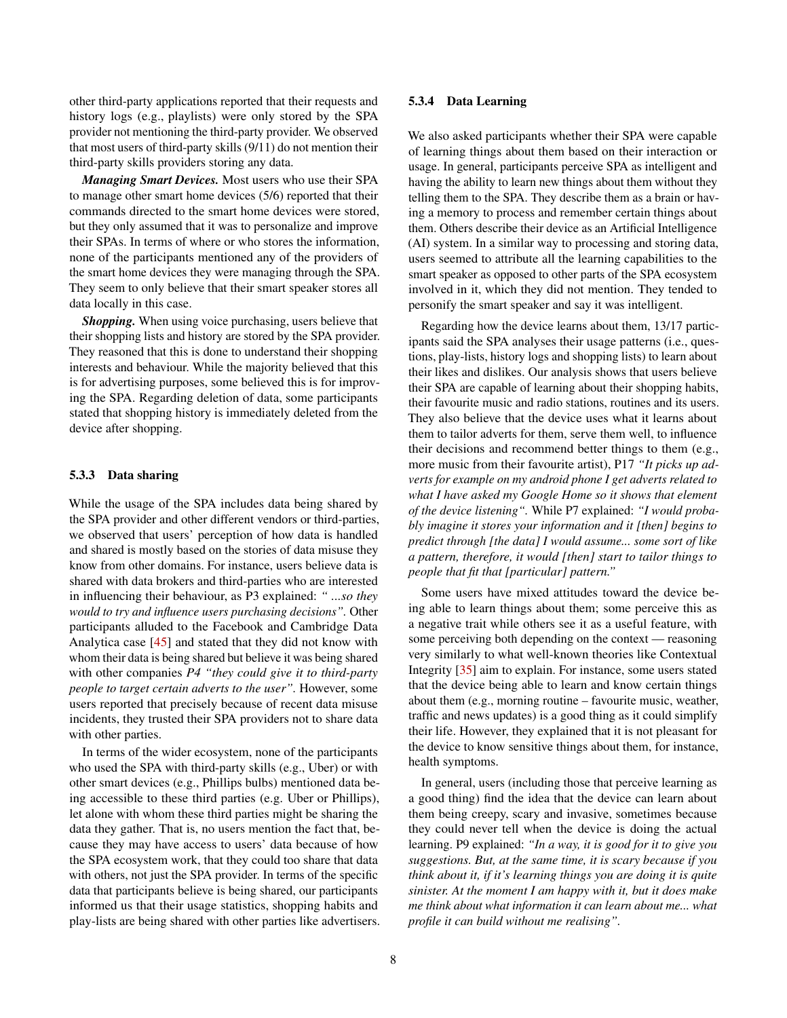other third-party applications reported that their requests and history logs (e.g., playlists) were only stored by the SPA provider not mentioning the third-party provider. We observed that most users of third-party skills (9/11) do not mention their third-party skills providers storing any data.

*Managing Smart Devices.* Most users who use their SPA to manage other smart home devices (5/6) reported that their commands directed to the smart home devices were stored, but they only assumed that it was to personalize and improve their SPAs. In terms of where or who stores the information, none of the participants mentioned any of the providers of the smart home devices they were managing through the SPA. They seem to only believe that their smart speaker stores all data locally in this case.

*Shopping.* When using voice purchasing, users believe that their shopping lists and history are stored by the SPA provider. They reasoned that this is done to understand their shopping interests and behaviour. While the majority believed that this is for advertising purposes, some believed this is for improving the SPA. Regarding deletion of data, some participants stated that shopping history is immediately deleted from the device after shopping.

#### 5.3.3 Data sharing

While the usage of the SPA includes data being shared by the SPA provider and other different vendors or third-parties, we observed that users' perception of how data is handled and shared is mostly based on the stories of data misuse they know from other domains. For instance, users believe data is shared with data brokers and third-parties who are interested in influencing their behaviour, as P3 explained: *" ...so they would to try and influence users purchasing decisions".* Other participants alluded to the Facebook and Cambridge Data Analytica case [\[45\]](#page-13-13) and stated that they did not know with whom their data is being shared but believe it was being shared with other companies *P4 "they could give it to third-party people to target certain adverts to the user".* However, some users reported that precisely because of recent data misuse incidents, they trusted their SPA providers not to share data with other parties.

In terms of the wider ecosystem, none of the participants who used the SPA with third-party skills (e.g., Uber) or with other smart devices (e.g., Phillips bulbs) mentioned data being accessible to these third parties (e.g. Uber or Phillips), let alone with whom these third parties might be sharing the data they gather. That is, no users mention the fact that, because they may have access to users' data because of how the SPA ecosystem work, that they could too share that data with others, not just the SPA provider. In terms of the specific data that participants believe is being shared, our participants informed us that their usage statistics, shopping habits and play-lists are being shared with other parties like advertisers.

#### 5.3.4 Data Learning

We also asked participants whether their SPA were capable of learning things about them based on their interaction or usage. In general, participants perceive SPA as intelligent and having the ability to learn new things about them without they telling them to the SPA. They describe them as a brain or having a memory to process and remember certain things about them. Others describe their device as an Artificial Intelligence (AI) system. In a similar way to processing and storing data, users seemed to attribute all the learning capabilities to the smart speaker as opposed to other parts of the SPA ecosystem involved in it, which they did not mention. They tended to personify the smart speaker and say it was intelligent.

Regarding how the device learns about them, 13/17 participants said the SPA analyses their usage patterns (i.e., questions, play-lists, history logs and shopping lists) to learn about their likes and dislikes. Our analysis shows that users believe their SPA are capable of learning about their shopping habits, their favourite music and radio stations, routines and its users. They also believe that the device uses what it learns about them to tailor adverts for them, serve them well, to influence their decisions and recommend better things to them (e.g., more music from their favourite artist), P17 *"It picks up adverts for example on my android phone I get adverts related to what I have asked my Google Home so it shows that element of the device listening".* While P7 explained: *"I would probably imagine it stores your information and it [then] begins to predict through [the data] I would assume... some sort of like a pattern, therefore, it would [then] start to tailor things to people that fit that [particular] pattern."*

Some users have mixed attitudes toward the device being able to learn things about them; some perceive this as a negative trait while others see it as a useful feature, with some perceiving both depending on the context — reasoning very similarly to what well-known theories like Contextual Integrity [\[35\]](#page-13-14) aim to explain. For instance, some users stated that the device being able to learn and know certain things about them (e.g., morning routine – favourite music, weather, traffic and news updates) is a good thing as it could simplify their life. However, they explained that it is not pleasant for the device to know sensitive things about them, for instance, health symptoms.

In general, users (including those that perceive learning as a good thing) find the idea that the device can learn about them being creepy, scary and invasive, sometimes because they could never tell when the device is doing the actual learning. P9 explained: *"In a way, it is good for it to give you suggestions. But, at the same time, it is scary because if you think about it, if it's learning things you are doing it is quite sinister. At the moment I am happy with it, but it does make me think about what information it can learn about me... what profile it can build without me realising".*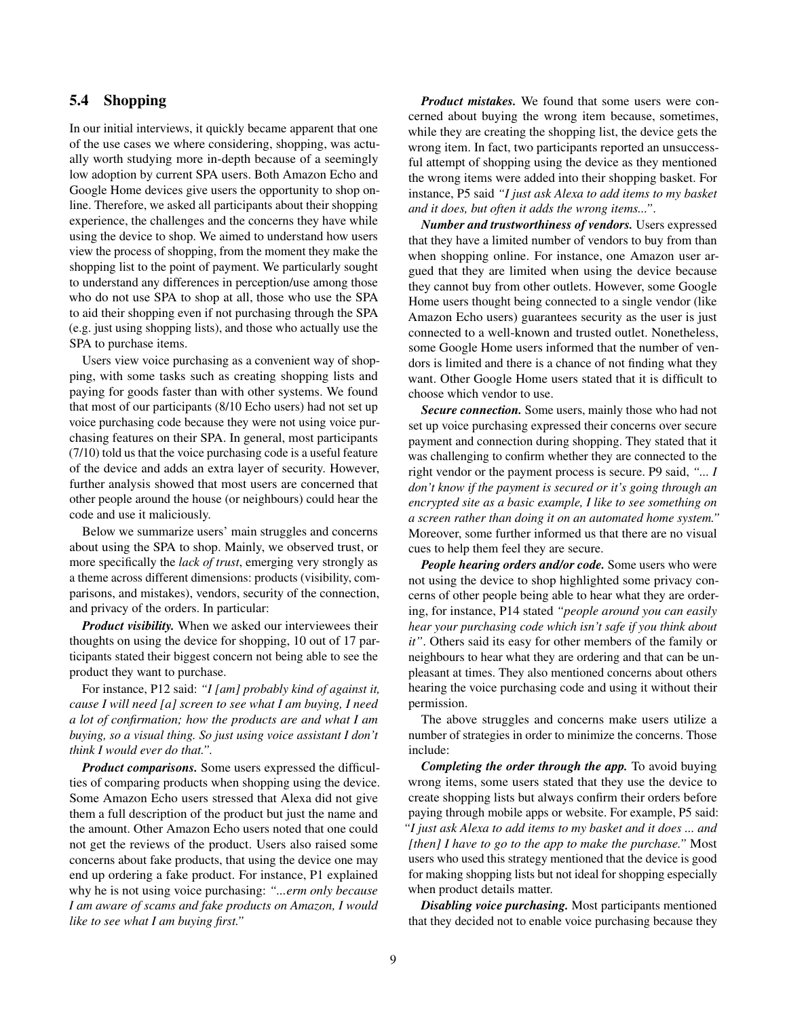# <span id="page-8-0"></span>5.4 Shopping

In our initial interviews, it quickly became apparent that one of the use cases we where considering, shopping, was actually worth studying more in-depth because of a seemingly low adoption by current SPA users. Both Amazon Echo and Google Home devices give users the opportunity to shop online. Therefore, we asked all participants about their shopping experience, the challenges and the concerns they have while using the device to shop. We aimed to understand how users view the process of shopping, from the moment they make the shopping list to the point of payment. We particularly sought to understand any differences in perception/use among those who do not use SPA to shop at all, those who use the SPA to aid their shopping even if not purchasing through the SPA (e.g. just using shopping lists), and those who actually use the SPA to purchase items.

Users view voice purchasing as a convenient way of shopping, with some tasks such as creating shopping lists and paying for goods faster than with other systems. We found that most of our participants (8/10 Echo users) had not set up voice purchasing code because they were not using voice purchasing features on their SPA. In general, most participants (7/10) told us that the voice purchasing code is a useful feature of the device and adds an extra layer of security. However, further analysis showed that most users are concerned that other people around the house (or neighbours) could hear the code and use it maliciously.

Below we summarize users' main struggles and concerns about using the SPA to shop. Mainly, we observed trust, or more specifically the *lack of trust*, emerging very strongly as a theme across different dimensions: products (visibility, comparisons, and mistakes), vendors, security of the connection, and privacy of the orders. In particular:

*Product visibility.* When we asked our interviewees their thoughts on using the device for shopping, 10 out of 17 participants stated their biggest concern not being able to see the product they want to purchase.

For instance, P12 said: *"I [am] probably kind of against it, cause I will need [a] screen to see what I am buying, I need a lot of confirmation; how the products are and what I am buying, so a visual thing. So just using voice assistant I don't think I would ever do that.".*

*Product comparisons.* Some users expressed the difficulties of comparing products when shopping using the device. Some Amazon Echo users stressed that Alexa did not give them a full description of the product but just the name and the amount. Other Amazon Echo users noted that one could not get the reviews of the product. Users also raised some concerns about fake products, that using the device one may end up ordering a fake product. For instance, P1 explained why he is not using voice purchasing: *"...erm only because I am aware of scams and fake products on Amazon, I would like to see what I am buying first."*

*Product mistakes.* We found that some users were concerned about buying the wrong item because, sometimes, while they are creating the shopping list, the device gets the wrong item. In fact, two participants reported an unsuccessful attempt of shopping using the device as they mentioned the wrong items were added into their shopping basket. For instance, P5 said *"I just ask Alexa to add items to my basket and it does, but often it adds the wrong items..."*.

*Number and trustworthiness of vendors.* Users expressed that they have a limited number of vendors to buy from than when shopping online. For instance, one Amazon user argued that they are limited when using the device because they cannot buy from other outlets. However, some Google Home users thought being connected to a single vendor (like Amazon Echo users) guarantees security as the user is just connected to a well-known and trusted outlet. Nonetheless, some Google Home users informed that the number of vendors is limited and there is a chance of not finding what they want. Other Google Home users stated that it is difficult to choose which vendor to use.

*Secure connection.* Some users, mainly those who had not set up voice purchasing expressed their concerns over secure payment and connection during shopping. They stated that it was challenging to confirm whether they are connected to the right vendor or the payment process is secure. P9 said, *"... I don't know if the payment is secured or it's going through an encrypted site as a basic example, I like to see something on a screen rather than doing it on an automated home system."* Moreover, some further informed us that there are no visual cues to help them feel they are secure.

*People hearing orders and/or code.* Some users who were not using the device to shop highlighted some privacy concerns of other people being able to hear what they are ordering, for instance, P14 stated *"people around you can easily hear your purchasing code which isn't safe if you think about it"*. Others said its easy for other members of the family or neighbours to hear what they are ordering and that can be unpleasant at times. They also mentioned concerns about others hearing the voice purchasing code and using it without their permission.

The above struggles and concerns make users utilize a number of strategies in order to minimize the concerns. Those include:

*Completing the order through the app.* To avoid buying wrong items, some users stated that they use the device to create shopping lists but always confirm their orders before paying through mobile apps or website. For example, P5 said: *"I just ask Alexa to add items to my basket and it does ... and [then] I have to go to the app to make the purchase."* Most users who used this strategy mentioned that the device is good for making shopping lists but not ideal for shopping especially when product details matter.

*Disabling voice purchasing.* Most participants mentioned that they decided not to enable voice purchasing because they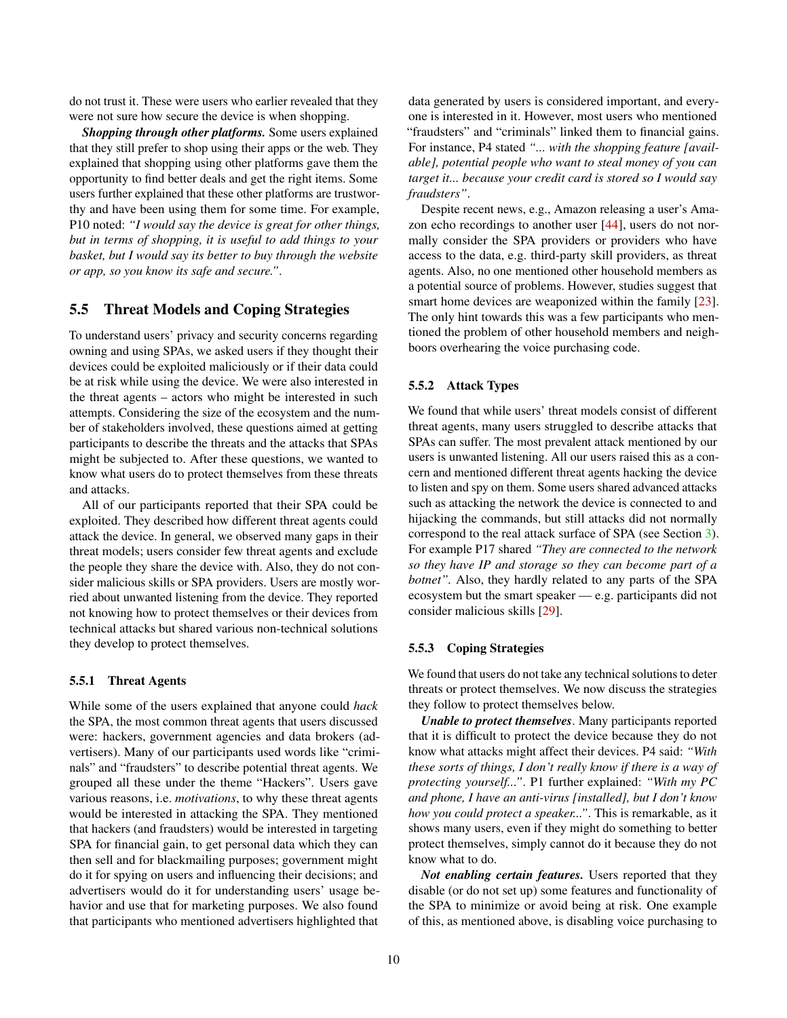do not trust it. These were users who earlier revealed that they were not sure how secure the device is when shopping.

*Shopping through other platforms.* Some users explained that they still prefer to shop using their apps or the web. They explained that shopping using other platforms gave them the opportunity to find better deals and get the right items. Some users further explained that these other platforms are trustworthy and have been using them for some time. For example, P10 noted: *"I would say the device is great for other things, but in terms of shopping, it is useful to add things to your basket, but I would say its better to buy through the website or app, so you know its safe and secure."*.

# 5.5 Threat Models and Coping Strategies

To understand users' privacy and security concerns regarding owning and using SPAs, we asked users if they thought their devices could be exploited maliciously or if their data could be at risk while using the device. We were also interested in the threat agents – actors who might be interested in such attempts. Considering the size of the ecosystem and the number of stakeholders involved, these questions aimed at getting participants to describe the threats and the attacks that SPAs might be subjected to. After these questions, we wanted to know what users do to protect themselves from these threats and attacks.

All of our participants reported that their SPA could be exploited. They described how different threat agents could attack the device. In general, we observed many gaps in their threat models; users consider few threat agents and exclude the people they share the device with. Also, they do not consider malicious skills or SPA providers. Users are mostly worried about unwanted listening from the device. They reported not knowing how to protect themselves or their devices from technical attacks but shared various non-technical solutions they develop to protect themselves.

#### 5.5.1 Threat Agents

While some of the users explained that anyone could *hack* the SPA, the most common threat agents that users discussed were: hackers, government agencies and data brokers (advertisers). Many of our participants used words like "criminals" and "fraudsters" to describe potential threat agents. We grouped all these under the theme "Hackers". Users gave various reasons, i.e. *motivations*, to why these threat agents would be interested in attacking the SPA. They mentioned that hackers (and fraudsters) would be interested in targeting SPA for financial gain, to get personal data which they can then sell and for blackmailing purposes; government might do it for spying on users and influencing their decisions; and advertisers would do it for understanding users' usage behavior and use that for marketing purposes. We also found that participants who mentioned advertisers highlighted that

data generated by users is considered important, and everyone is interested in it. However, most users who mentioned "fraudsters" and "criminals" linked them to financial gains. For instance, P4 stated *"... with the shopping feature [available], potential people who want to steal money of you can target it... because your credit card is stored so I would say fraudsters"*.

Despite recent news, e.g., Amazon releasing a user's Amazon echo recordings to another user [\[44\]](#page-13-15), users do not normally consider the SPA providers or providers who have access to the data, e.g. third-party skill providers, as threat agents. Also, no one mentioned other household members as a potential source of problems. However, studies suggest that smart home devices are weaponized within the family [\[23\]](#page-12-15). The only hint towards this was a few participants who mentioned the problem of other household members and neighboors overhearing the voice purchasing code.

#### 5.5.2 Attack Types

We found that while users' threat models consist of different threat agents, many users struggled to describe attacks that SPAs can suffer. The most prevalent attack mentioned by our users is unwanted listening. All our users raised this as a concern and mentioned different threat agents hacking the device to listen and spy on them. Some users shared advanced attacks such as attacking the network the device is connected to and hijacking the commands, but still attacks did not normally correspond to the real attack surface of SPA (see Section [3\)](#page-1-2). For example P17 shared *"They are connected to the network so they have IP and storage so they can become part of a botnet".* Also, they hardly related to any parts of the SPA ecosystem but the smart speaker — e.g. participants did not consider malicious skills [\[29\]](#page-13-16).

#### 5.5.3 Coping Strategies

We found that users do not take any technical solutions to deter threats or protect themselves. We now discuss the strategies they follow to protect themselves below.

*Unable to protect themselves*. Many participants reported that it is difficult to protect the device because they do not know what attacks might affect their devices. P4 said: *"With these sorts of things, I don't really know if there is a way of protecting yourself..."*. P1 further explained: *"With my PC and phone, I have an anti-virus [installed], but I don't know how you could protect a speaker..."*. This is remarkable, as it shows many users, even if they might do something to better protect themselves, simply cannot do it because they do not know what to do.

*Not enabling certain features.* Users reported that they disable (or do not set up) some features and functionality of the SPA to minimize or avoid being at risk. One example of this, as mentioned above, is disabling voice purchasing to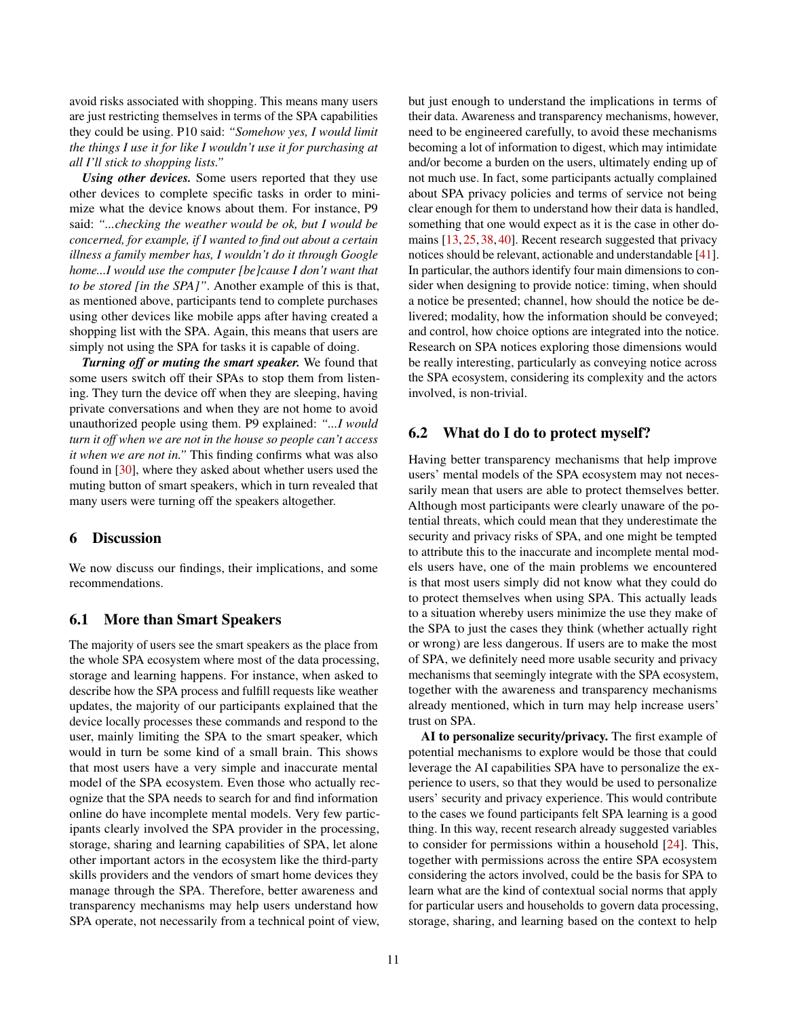avoid risks associated with shopping. This means many users are just restricting themselves in terms of the SPA capabilities they could be using. P10 said: *"Somehow yes, I would limit the things I use it for like I wouldn't use it for purchasing at all I'll stick to shopping lists."*

*Using other devices.* Some users reported that they use other devices to complete specific tasks in order to minimize what the device knows about them. For instance, P9 said: *"...checking the weather would be ok, but I would be concerned, for example, if I wanted to find out about a certain illness a family member has, I wouldn't do it through Google home...I would use the computer [be]cause I don't want that to be stored [in the SPA]"*. Another example of this is that, as mentioned above, participants tend to complete purchases using other devices like mobile apps after having created a shopping list with the SPA. Again, this means that users are simply not using the SPA for tasks it is capable of doing.

*Turning off or muting the smart speaker.* We found that some users switch off their SPAs to stop them from listening. They turn the device off when they are sleeping, having private conversations and when they are not home to avoid unauthorized people using them. P9 explained: *"...I would turn it off when we are not in the house so people can't access it when we are not in."* This finding confirms what was also found in [\[30\]](#page-13-5), where they asked about whether users used the muting button of smart speakers, which in turn revealed that many users were turning off the speakers altogether.

### 6 Discussion

We now discuss our findings, their implications, and some recommendations.

# 6.1 More than Smart Speakers

The majority of users see the smart speakers as the place from the whole SPA ecosystem where most of the data processing, storage and learning happens. For instance, when asked to describe how the SPA process and fulfill requests like weather updates, the majority of our participants explained that the device locally processes these commands and respond to the user, mainly limiting the SPA to the smart speaker, which would in turn be some kind of a small brain. This shows that most users have a very simple and inaccurate mental model of the SPA ecosystem. Even those who actually recognize that the SPA needs to search for and find information online do have incomplete mental models. Very few participants clearly involved the SPA provider in the processing, storage, sharing and learning capabilities of SPA, let alone other important actors in the ecosystem like the third-party skills providers and the vendors of smart home devices they manage through the SPA. Therefore, better awareness and transparency mechanisms may help users understand how SPA operate, not necessarily from a technical point of view,

but just enough to understand the implications in terms of their data. Awareness and transparency mechanisms, however, need to be engineered carefully, to avoid these mechanisms becoming a lot of information to digest, which may intimidate and/or become a burden on the users, ultimately ending up of not much use. In fact, some participants actually complained about SPA privacy policies and terms of service not being clear enough for them to understand how their data is handled, something that one would expect as it is the case in other domains [\[13,](#page-12-16) [25,](#page-13-17) [38,](#page-13-18) [40\]](#page-13-19). Recent research suggested that privacy notices should be relevant, actionable and understandable [\[41\]](#page-13-20). In particular, the authors identify four main dimensions to consider when designing to provide notice: timing, when should a notice be presented; channel, how should the notice be delivered; modality, how the information should be conveyed; and control, how choice options are integrated into the notice. Research on SPA notices exploring those dimensions would be really interesting, particularly as conveying notice across the SPA ecosystem, considering its complexity and the actors involved, is non-trivial.

### 6.2 What do I do to protect myself?

Having better transparency mechanisms that help improve users' mental models of the SPA ecosystem may not necessarily mean that users are able to protect themselves better. Although most participants were clearly unaware of the potential threats, which could mean that they underestimate the security and privacy risks of SPA, and one might be tempted to attribute this to the inaccurate and incomplete mental models users have, one of the main problems we encountered is that most users simply did not know what they could do to protect themselves when using SPA. This actually leads to a situation whereby users minimize the use they make of the SPA to just the cases they think (whether actually right or wrong) are less dangerous. If users are to make the most of SPA, we definitely need more usable security and privacy mechanisms that seemingly integrate with the SPA ecosystem, together with the awareness and transparency mechanisms already mentioned, which in turn may help increase users' trust on SPA.

AI to personalize security/privacy. The first example of potential mechanisms to explore would be those that could leverage the AI capabilities SPA have to personalize the experience to users, so that they would be used to personalize users' security and privacy experience. This would contribute to the cases we found participants felt SPA learning is a good thing. In this way, recent research already suggested variables to consider for permissions within a household [\[24\]](#page-12-8). This, together with permissions across the entire SPA ecosystem considering the actors involved, could be the basis for SPA to learn what are the kind of contextual social norms that apply for particular users and households to govern data processing, storage, sharing, and learning based on the context to help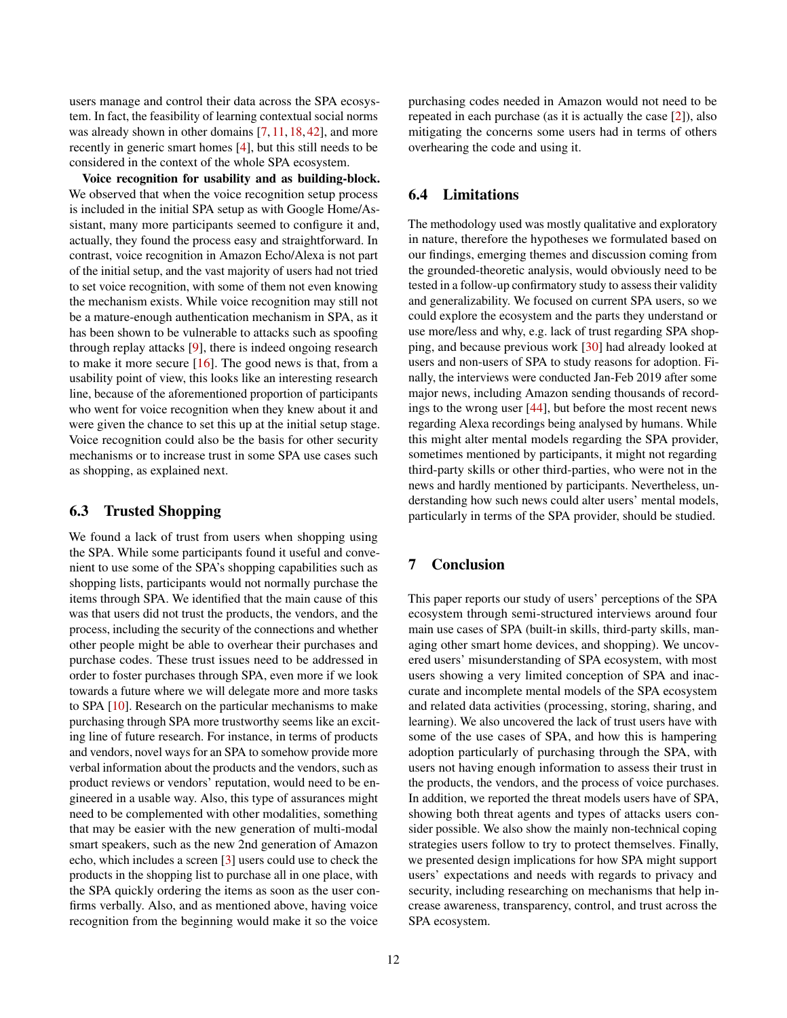users manage and control their data across the SPA ecosystem. In fact, the feasibility of learning contextual social norms was already shown in other domains [\[7,](#page-12-17) [11,](#page-12-18) [18,](#page-12-19) [42\]](#page-13-21), and more recently in generic smart homes [\[4\]](#page-12-20), but this still needs to be considered in the context of the whole SPA ecosystem.

Voice recognition for usability and as building-block. We observed that when the voice recognition setup process is included in the initial SPA setup as with Google Home/Assistant, many more participants seemed to configure it and, actually, they found the process easy and straightforward. In contrast, voice recognition in Amazon Echo/Alexa is not part of the initial setup, and the vast majority of users had not tried to set voice recognition, with some of them not even knowing the mechanism exists. While voice recognition may still not be a mature-enough authentication mechanism in SPA, as it has been shown to be vulnerable to attacks such as spoofing through replay attacks [\[9\]](#page-12-21), there is indeed ongoing research to make it more secure [\[16\]](#page-12-9). The good news is that, from a usability point of view, this looks like an interesting research line, because of the aforementioned proportion of participants who went for voice recognition when they knew about it and were given the chance to set this up at the initial setup stage. Voice recognition could also be the basis for other security mechanisms or to increase trust in some SPA use cases such as shopping, as explained next.

# 6.3 Trusted Shopping

We found a lack of trust from users when shopping using the SPA. While some participants found it useful and convenient to use some of the SPA's shopping capabilities such as shopping lists, participants would not normally purchase the items through SPA. We identified that the main cause of this was that users did not trust the products, the vendors, and the process, including the security of the connections and whether other people might be able to overhear their purchases and purchase codes. These trust issues need to be addressed in order to foster purchases through SPA, even more if we look towards a future where we will delegate more and more tasks to SPA [\[10\]](#page-12-22). Research on the particular mechanisms to make purchasing through SPA more trustworthy seems like an exciting line of future research. For instance, in terms of products and vendors, novel ways for an SPA to somehow provide more verbal information about the products and the vendors, such as product reviews or vendors' reputation, would need to be engineered in a usable way. Also, this type of assurances might need to be complemented with other modalities, something that may be easier with the new generation of multi-modal smart speakers, such as the new 2nd generation of Amazon echo, which includes a screen [\[3\]](#page-12-23) users could use to check the products in the shopping list to purchase all in one place, with the SPA quickly ordering the items as soon as the user confirms verbally. Also, and as mentioned above, having voice recognition from the beginning would make it so the voice

purchasing codes needed in Amazon would not need to be repeated in each purchase (as it is actually the case [\[2\]](#page-12-14)), also mitigating the concerns some users had in terms of others overhearing the code and using it.

# 6.4 Limitations

The methodology used was mostly qualitative and exploratory in nature, therefore the hypotheses we formulated based on our findings, emerging themes and discussion coming from the grounded-theoretic analysis, would obviously need to be tested in a follow-up confirmatory study to assess their validity and generalizability. We focused on current SPA users, so we could explore the ecosystem and the parts they understand or use more/less and why, e.g. lack of trust regarding SPA shopping, and because previous work [\[30\]](#page-13-5) had already looked at users and non-users of SPA to study reasons for adoption. Finally, the interviews were conducted Jan-Feb 2019 after some major news, including Amazon sending thousands of recordings to the wrong user [\[44\]](#page-13-15), but before the most recent news regarding Alexa recordings being analysed by humans. While this might alter mental models regarding the SPA provider, sometimes mentioned by participants, it might not regarding third-party skills or other third-parties, who were not in the news and hardly mentioned by participants. Nevertheless, understanding how such news could alter users' mental models, particularly in terms of the SPA provider, should be studied.

# 7 Conclusion

This paper reports our study of users' perceptions of the SPA ecosystem through semi-structured interviews around four main use cases of SPA (built-in skills, third-party skills, managing other smart home devices, and shopping). We uncovered users' misunderstanding of SPA ecosystem, with most users showing a very limited conception of SPA and inaccurate and incomplete mental models of the SPA ecosystem and related data activities (processing, storing, sharing, and learning). We also uncovered the lack of trust users have with some of the use cases of SPA, and how this is hampering adoption particularly of purchasing through the SPA, with users not having enough information to assess their trust in the products, the vendors, and the process of voice purchases. In addition, we reported the threat models users have of SPA, showing both threat agents and types of attacks users consider possible. We also show the mainly non-technical coping strategies users follow to try to protect themselves. Finally, we presented design implications for how SPA might support users' expectations and needs with regards to privacy and security, including researching on mechanisms that help increase awareness, transparency, control, and trust across the SPA ecosystem.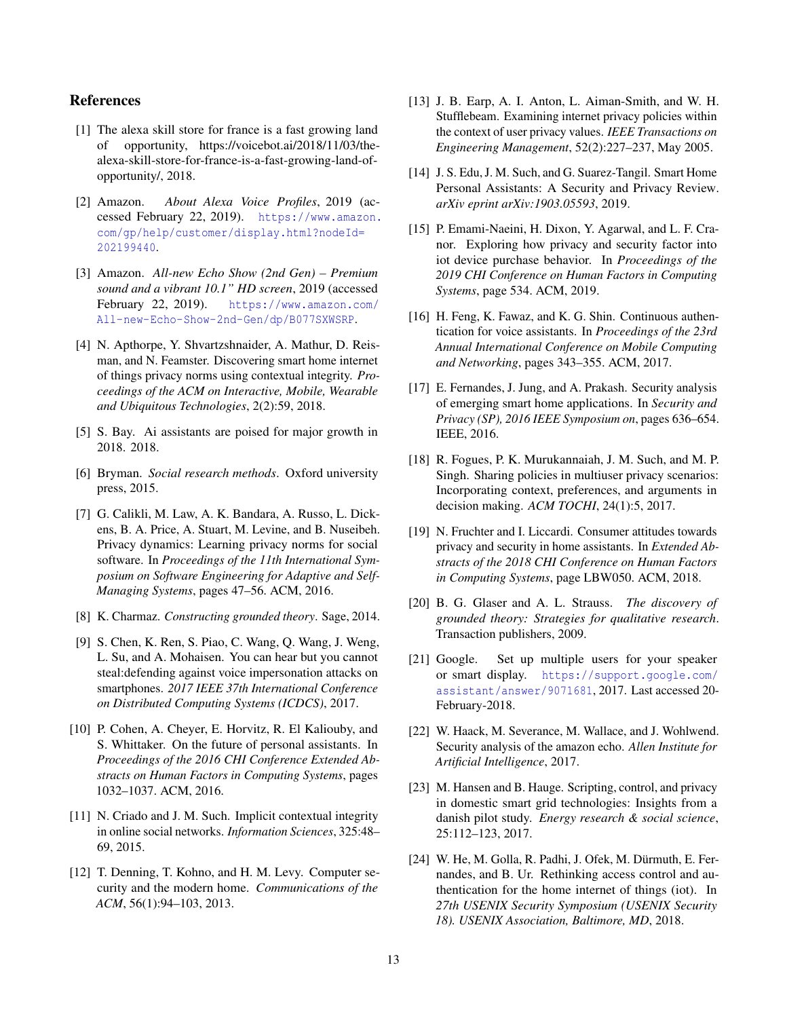# References

- <span id="page-12-6"></span>[1] The alexa skill store for france is a fast growing land of opportunity, https://voicebot.ai/2018/11/03/thealexa-skill-store-for-france-is-a-fast-growing-land-ofopportunity/, 2018.
- <span id="page-12-14"></span>[2] Amazon. *About Alexa Voice Profiles*, 2019 (accessed February 22, 2019). [https://www.amazon.](https://www.amazon.com/gp/help/customer/ display.html?nodeId=202199440) [com/gp/help/customer/display.html?nodeId=](https://www.amazon.com/gp/help/customer/ display.html?nodeId=202199440) [202199440](https://www.amazon.com/gp/help/customer/ display.html?nodeId=202199440).
- <span id="page-12-23"></span>[3] Amazon. *All-new Echo Show (2nd Gen) – Premium sound and a vibrant 10.1" HD screen*, 2019 (accessed February 22, 2019). [https://www.amazon.com/](https://www.amazon.com/All-new-Echo-Show-2nd-Gen/dp/B077SXWSRP) [All-new-Echo-Show-2nd-Gen/dp/B077SXWSRP](https://www.amazon.com/All-new-Echo-Show-2nd-Gen/dp/B077SXWSRP).
- <span id="page-12-20"></span>[4] N. Apthorpe, Y. Shvartzshnaider, A. Mathur, D. Reisman, and N. Feamster. Discovering smart home internet of things privacy norms using contextual integrity. *Proceedings of the ACM on Interactive, Mobile, Wearable and Ubiquitous Technologies*, 2(2):59, 2018.
- <span id="page-12-0"></span>[5] S. Bay. Ai assistants are poised for major growth in 2018. 2018.
- <span id="page-12-10"></span>[6] Bryman. *Social research methods*. Oxford university press, 2015.
- <span id="page-12-17"></span>[7] G. Calikli, M. Law, A. K. Bandara, A. Russo, L. Dickens, B. A. Price, A. Stuart, M. Levine, and B. Nuseibeh. Privacy dynamics: Learning privacy norms for social software. In *Proceedings of the 11th International Symposium on Software Engineering for Adaptive and Self-Managing Systems*, pages 47–56. ACM, 2016.
- <span id="page-12-11"></span>[8] K. Charmaz. *Constructing grounded theory*. Sage, 2014.
- <span id="page-12-21"></span>[9] S. Chen, K. Ren, S. Piao, C. Wang, Q. Wang, J. Weng, L. Su, and A. Mohaisen. You can hear but you cannot steal:defending against voice impersonation attacks on smartphones. *2017 IEEE 37th International Conference on Distributed Computing Systems (ICDCS)*, 2017.
- <span id="page-12-22"></span>[10] P. Cohen, A. Cheyer, E. Horvitz, R. El Kaliouby, and S. Whittaker. On the future of personal assistants. In *Proceedings of the 2016 CHI Conference Extended Abstracts on Human Factors in Computing Systems*, pages 1032–1037. ACM, 2016.
- <span id="page-12-18"></span>[11] N. Criado and J. M. Such. Implicit contextual integrity in online social networks. *Information Sciences*, 325:48– 69, 2015.
- <span id="page-12-1"></span>[12] T. Denning, T. Kohno, and H. M. Levy. Computer security and the modern home. *Communications of the ACM*, 56(1):94–103, 2013.
- <span id="page-12-16"></span>[13] J. B. Earp, A. I. Anton, L. Aiman-Smith, and W. H. Stufflebeam. Examining internet privacy policies within the context of user privacy values. *IEEE Transactions on Engineering Management*, 52(2):227–237, May 2005.
- <span id="page-12-5"></span>[14] J. S. Edu, J. M. Such, and G. Suarez-Tangil. Smart Home Personal Assistants: A Security and Privacy Review. *arXiv eprint arXiv:1903.05593*, 2019.
- <span id="page-12-7"></span>[15] P. Emami-Naeini, H. Dixon, Y. Agarwal, and L. F. Cranor. Exploring how privacy and security factor into iot device purchase behavior. In *Proceedings of the 2019 CHI Conference on Human Factors in Computing Systems*, page 534. ACM, 2019.
- <span id="page-12-9"></span>[16] H. Feng, K. Fawaz, and K. G. Shin. Continuous authentication for voice assistants. In *Proceedings of the 23rd Annual International Conference on Mobile Computing and Networking*, pages 343–355. ACM, 2017.
- <span id="page-12-2"></span>[17] E. Fernandes, J. Jung, and A. Prakash. Security analysis of emerging smart home applications. In *Security and Privacy (SP), 2016 IEEE Symposium on*, pages 636–654. IEEE, 2016.
- <span id="page-12-19"></span>[18] R. Fogues, P. K. Murukannaiah, J. M. Such, and M. P. Singh. Sharing policies in multiuser privacy scenarios: Incorporating context, preferences, and arguments in decision making. *ACM TOCHI*, 24(1):5, 2017.
- <span id="page-12-4"></span>[19] N. Fruchter and I. Liccardi. Consumer attitudes towards privacy and security in home assistants. In *Extended Abstracts of the 2018 CHI Conference on Human Factors in Computing Systems*, page LBW050. ACM, 2018.
- <span id="page-12-12"></span>[20] B. G. Glaser and A. L. Strauss. *The discovery of grounded theory: Strategies for qualitative research*. Transaction publishers, 2009.
- <span id="page-12-13"></span>[21] Google. Set up multiple users for your speaker or smart display. [https://support.google.com/](https://support.google.com/assistant/answer/9071681) [assistant/answer/9071681](https://support.google.com/assistant/answer/9071681), 2017. Last accessed 20- February-2018.
- <span id="page-12-3"></span>[22] W. Haack, M. Severance, M. Wallace, and J. Wohlwend. Security analysis of the amazon echo. *Allen Institute for Artificial Intelligence*, 2017.
- <span id="page-12-15"></span>[23] M. Hansen and B. Hauge. Scripting, control, and privacy in domestic smart grid technologies: Insights from a danish pilot study. *Energy research & social science*, 25:112–123, 2017.
- <span id="page-12-8"></span>[24] W. He, M. Golla, R. Padhi, J. Ofek, M. Dürmuth, E. Fernandes, and B. Ur. Rethinking access control and authentication for the home internet of things (iot). In *27th USENIX Security Symposium (USENIX Security 18). USENIX Association, Baltimore, MD*, 2018.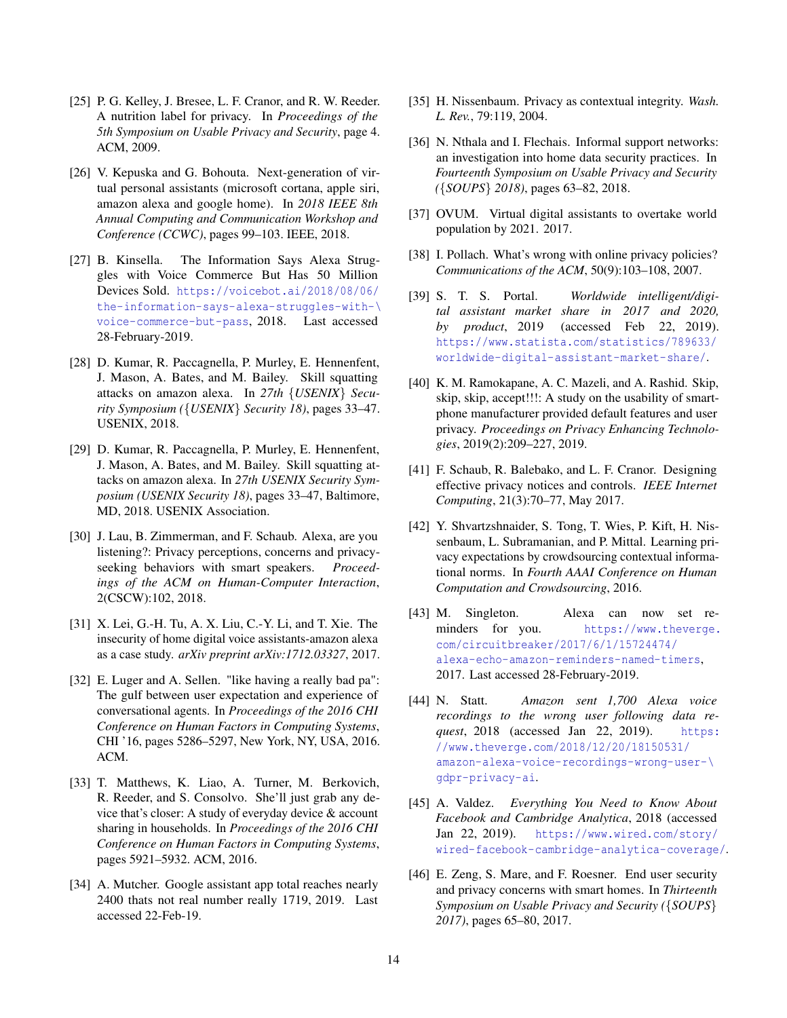- <span id="page-13-17"></span>[25] P. G. Kelley, J. Bresee, L. F. Cranor, and R. W. Reeder. A nutrition label for privacy. In *Proceedings of the 5th Symposium on Usable Privacy and Security*, page 4. ACM, 2009.
- <span id="page-13-11"></span>[26] V. Kepuska and G. Bohouta. Next-generation of virtual personal assistants (microsoft cortana, apple siri, amazon alexa and google home). In *2018 IEEE 8th Annual Computing and Communication Workshop and Conference (CCWC)*, pages 99–103. IEEE, 2018.
- <span id="page-13-1"></span>[27] B. Kinsella. The Information Says Alexa Struggles with Voice Commerce But Has 50 Million Devices Sold. [https://voicebot.ai/2018/08/06/](https://voicebot.ai/2018/08/06/the-information-says-alexa-struggles-with-\ voice-commerce-but-pass) [the-information-says-alexa-struggles-with-\](https://voicebot.ai/2018/08/06/the-information-says-alexa-struggles-with-\ voice-commerce-but-pass) [voice-commerce-but-pass](https://voicebot.ai/2018/08/06/the-information-says-alexa-struggles-with-\ voice-commerce-but-pass), 2018. Last accessed 28-February-2019.
- <span id="page-13-4"></span>[28] D. Kumar, R. Paccagnella, P. Murley, E. Hennenfent, J. Mason, A. Bates, and M. Bailey. Skill squatting attacks on amazon alexa. In *27th* {*USENIX*} *Security Symposium (*{*USENIX*} *Security 18)*, pages 33–47. USENIX, 2018.
- <span id="page-13-16"></span>[29] D. Kumar, R. Paccagnella, P. Murley, E. Hennenfent, J. Mason, A. Bates, and M. Bailey. Skill squatting attacks on amazon alexa. In *27th USENIX Security Symposium (USENIX Security 18)*, pages 33–47, Baltimore, MD, 2018. USENIX Association.
- <span id="page-13-5"></span>[30] J. Lau, B. Zimmerman, and F. Schaub. Alexa, are you listening?: Privacy perceptions, concerns and privacyseeking behaviors with smart speakers. *Proceedings of the ACM on Human-Computer Interaction*, 2(CSCW):102, 2018.
- <span id="page-13-10"></span>[31] X. Lei, G.-H. Tu, A. X. Liu, C.-Y. Li, and T. Xie. The insecurity of home digital voice assistants-amazon alexa as a case study. *arXiv preprint arXiv:1712.03327*, 2017.
- <span id="page-13-2"></span>[32] E. Luger and A. Sellen. "like having a really bad pa": The gulf between user expectation and experience of conversational agents. In *Proceedings of the 2016 CHI Conference on Human Factors in Computing Systems*, CHI '16, pages 5286–5297, New York, NY, USA, 2016. ACM.
- <span id="page-13-12"></span>[33] T. Matthews, K. Liao, A. Turner, M. Berkovich, R. Reeder, and S. Consolvo. She'll just grab any device that's closer: A study of everyday device & account sharing in households. In *Proceedings of the 2016 CHI Conference on Human Factors in Computing Systems*, pages 5921–5932. ACM, 2016.
- <span id="page-13-7"></span>[34] A. Mutcher. Google assistant app total reaches nearly 2400 thats not real number really 1719, 2019. Last accessed 22-Feb-19.
- <span id="page-13-14"></span>[35] H. Nissenbaum. Privacy as contextual integrity. *Wash. L. Rev.*, 79:119, 2004.
- <span id="page-13-9"></span>[36] N. Nthala and I. Flechais. Informal support networks: an investigation into home data security practices. In *Fourteenth Symposium on Usable Privacy and Security (*{*SOUPS*} *2018)*, pages 63–82, 2018.
- <span id="page-13-0"></span>[37] OVUM. Virtual digital assistants to overtake world population by 2021. 2017.
- <span id="page-13-18"></span>[38] I. Pollach. What's wrong with online privacy policies? *Communications of the ACM*, 50(9):103–108, 2007.
- <span id="page-13-6"></span>[39] S. T. S. Portal. *Worldwide intelligent/digital assistant market share in 2017 and 2020, by product*, 2019 (accessed Feb 22, 2019). [https://www.statista.com/statistics/789633/](https://www.statista.com/statistics/789633/worldwide-digital-assistant-market-share/) [worldwide-digital-assistant-market-share/](https://www.statista.com/statistics/789633/worldwide-digital-assistant-market-share/).
- <span id="page-13-19"></span>[40] K. M. Ramokapane, A. C. Mazeli, and A. Rashid. Skip, skip, skip, accept!!!: A study on the usability of smartphone manufacturer provided default features and user privacy. *Proceedings on Privacy Enhancing Technologies*, 2019(2):209–227, 2019.
- <span id="page-13-20"></span>[41] F. Schaub, R. Balebako, and L. F. Cranor. Designing effective privacy notices and controls. *IEEE Internet Computing*, 21(3):70–77, May 2017.
- <span id="page-13-21"></span>[42] Y. Shvartzshnaider, S. Tong, T. Wies, P. Kift, H. Nissenbaum, L. Subramanian, and P. Mittal. Learning privacy expectations by crowdsourcing contextual informational norms. In *Fourth AAAI Conference on Human Computation and Crowdsourcing*, 2016.
- <span id="page-13-3"></span>[43] M. Singleton. Alexa can now set reminders for you. [https://www.theverge.](https://www.theverge.com/circuitbreaker/2017/6/1/15724474/alexa-echo-amazon-reminders-named-timers) [com/circuitbreaker/2017/6/1/15724474/](https://www.theverge.com/circuitbreaker/2017/6/1/15724474/alexa-echo-amazon-reminders-named-timers) [alexa-echo-amazon-reminders-named-timers](https://www.theverge.com/circuitbreaker/2017/6/1/15724474/alexa-echo-amazon-reminders-named-timers), 2017. Last accessed 28-February-2019.
- <span id="page-13-15"></span>[44] N. Statt. *Amazon sent 1,700 Alexa voice recordings to the wrong user following data request*, 2018 (accessed Jan 22, 2019). [https:](https://www.theverge.com/2018/12/20/18150531/amazon-alexa-voice-recordings-wrong-user-\ gdpr-privacy-ai) [//www.theverge.com/2018/12/20/18150531/](https://www.theverge.com/2018/12/20/18150531/amazon-alexa-voice-recordings-wrong-user-\ gdpr-privacy-ai) [amazon-alexa-voice-recordings-wrong-user-\](https://www.theverge.com/2018/12/20/18150531/amazon-alexa-voice-recordings-wrong-user-\ gdpr-privacy-ai) [gdpr-privacy-ai](https://www.theverge.com/2018/12/20/18150531/amazon-alexa-voice-recordings-wrong-user-\ gdpr-privacy-ai).
- <span id="page-13-13"></span>[45] A. Valdez. *Everything You Need to Know About Facebook and Cambridge Analytica*, 2018 (accessed Jan 22, 2019). [https://www.wired.com/story/](https://www.wired.com/story/wired-facebook-cambridge-analytica-coverage/) [wired-facebook-cambridge-analytica-coverage/](https://www.wired.com/story/wired-facebook-cambridge-analytica-coverage/).
- <span id="page-13-8"></span>[46] E. Zeng, S. Mare, and F. Roesner. End user security and privacy concerns with smart homes. In *Thirteenth Symposium on Usable Privacy and Security (*{*SOUPS*} *2017)*, pages 65–80, 2017.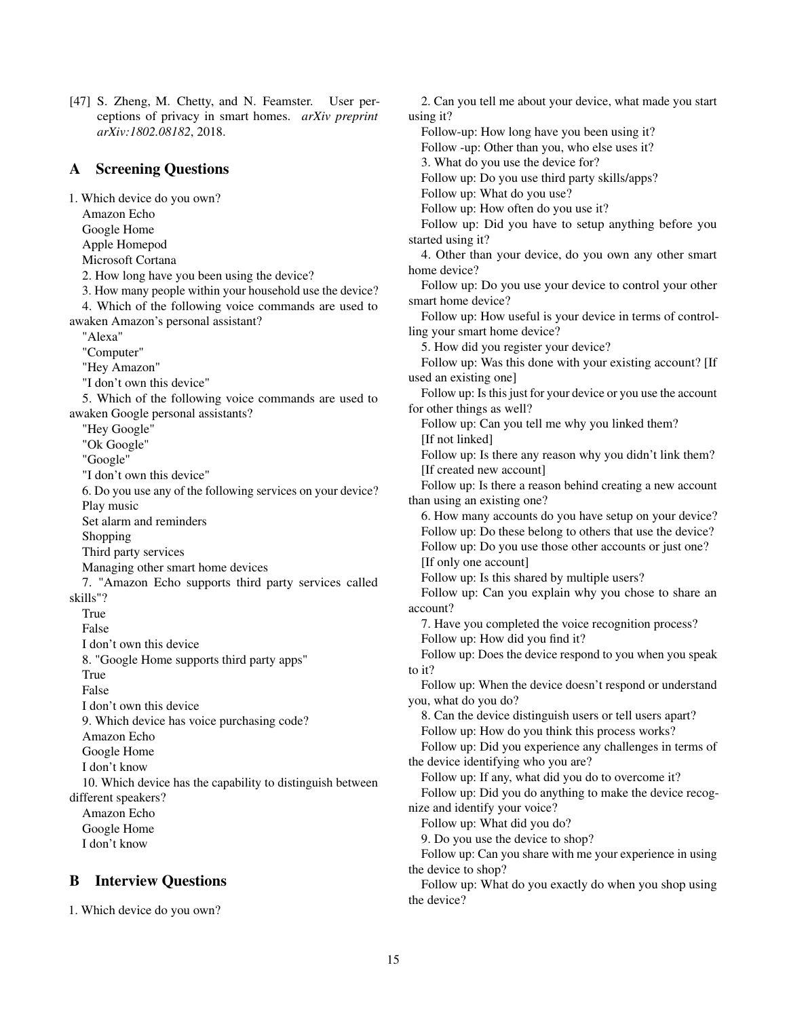<span id="page-14-0"></span>[47] S. Zheng, M. Chetty, and N. Feamster. User perceptions of privacy in smart homes. *arXiv preprint arXiv:1802.08182*, 2018.

# <span id="page-14-1"></span>A Screening Questions

1. Which device do you own? Amazon Echo Google Home Apple Homepod Microsoft Cortana 2. How long have you been using the device? 3. How many people within your household use the device? 4. Which of the following voice commands are used to awaken Amazon's personal assistant? "Alexa" "Computer" "Hey Amazon" "I don't own this device" 5. Which of the following voice commands are used to awaken Google personal assistants? "Hey Google" "Ok Google" "Google" "I don't own this device" 6. Do you use any of the following services on your device? Play music Set alarm and reminders Shopping Third party services Managing other smart home devices 7. "Amazon Echo supports third party services called skills"? True False I don't own this device 8. "Google Home supports third party apps" True False I don't own this device 9. Which device has voice purchasing code? Amazon Echo Google Home I don't know 10. Which device has the capability to distinguish between different speakers? Amazon Echo Google Home I don't know

# <span id="page-14-2"></span>B Interview Questions

1. Which device do you own?

2. Can you tell me about your device, what made you start using it? Follow-up: How long have you been using it? Follow -up: Other than you, who else uses it? 3. What do you use the device for? Follow up: Do you use third party skills/apps? Follow up: What do you use? Follow up: How often do you use it? Follow up: Did you have to setup anything before you started using it? 4. Other than your device, do you own any other smart home device? Follow up: Do you use your device to control your other smart home device? Follow up: How useful is your device in terms of controlling your smart home device? 5. How did you register your device? Follow up: Was this done with your existing account? [If used an existing one] Follow up: Is this just for your device or you use the account for other things as well? Follow up: Can you tell me why you linked them? [If not linked] Follow up: Is there any reason why you didn't link them? [If created new account] Follow up: Is there a reason behind creating a new account than using an existing one? 6. How many accounts do you have setup on your device? Follow up: Do these belong to others that use the device? Follow up: Do you use those other accounts or just one? [If only one account] Follow up: Is this shared by multiple users? Follow up: Can you explain why you chose to share an account? 7. Have you completed the voice recognition process? Follow up: How did you find it? Follow up: Does the device respond to you when you speak to it? Follow up: When the device doesn't respond or understand you, what do you do? 8. Can the device distinguish users or tell users apart? Follow up: How do you think this process works? Follow up: Did you experience any challenges in terms of the device identifying who you are? Follow up: If any, what did you do to overcome it? Follow up: Did you do anything to make the device recognize and identify your voice? Follow up: What did you do? 9. Do you use the device to shop? Follow up: Can you share with me your experience in using the device to shop? Follow up: What do you exactly do when you shop using the device?